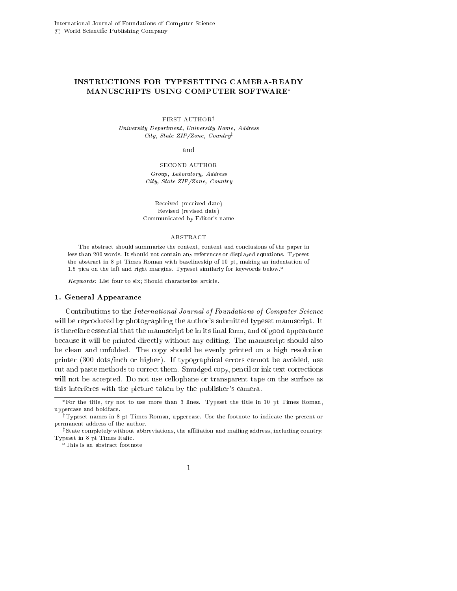# INSTRUCTIONS FOR TYPESETTING CAMERA-READY MANUSCRIPTS USING COMPUTER SOFTWARE

#### FIRST AUTHOR<sup>†</sup> University Department, University Name, Address City, State ZIP/Zone, Country<sup>†</sup>

#### and

SECOND AUTHOR Group, Laboratory, Address City, State ZIP/Zone, Country

Re
eived (re
eived date) Revised (revised date) Communi
ated by Editor's name

#### ABSTRACT

The abstract should summarize the context, content and conclusions of the paper in less than 200 words. It should not contain any references or displayed equations. Typeset the abstra
t in 8 pt Times Roman with baselineskip of 10 pt, making an indentation of 1.5 pica on the left and right margins. Typeset similarly for keywords below.<sup> $a$ </sup>

Keywords: List four to six; Should characterize article.

## 1. General Appearan
e

Contributions to the International Journal of Foundations of Computer Science will be reproduced by photographing the author's submitted typeset manuscript. It is therefore essential that the manuscript be in its final form, and of good appearance because it will be printed directly without any editing. The manuscript should also be lean and unfolded. The opy should be evenly printed on a high resolution printer (300 dots/in
h or higher). If typographi
al errors annot be avoided, use cut and paste methods to correct them. Smudged copy, pencil or ink text corrections will not be accepted. Do not use cellophane or transparent tape on the surface as this interferes with the picture taken by the publisher's camera.

<sup>a</sup>This is an abstract footnote



For the title, try not to use more than 3 lines. Typeset the title in 10 pt Times Roman, upper
ase and boldfa
e.

<sup>&</sup>lt;sup>†</sup>Typeset names in 8 pt Times Roman, uppercase. Use the footnote to indicate the present or permanent address of the author.

state completely without abbreviations, the anniation and mailing address, including country. Typeset in 8 pt Times Itali
.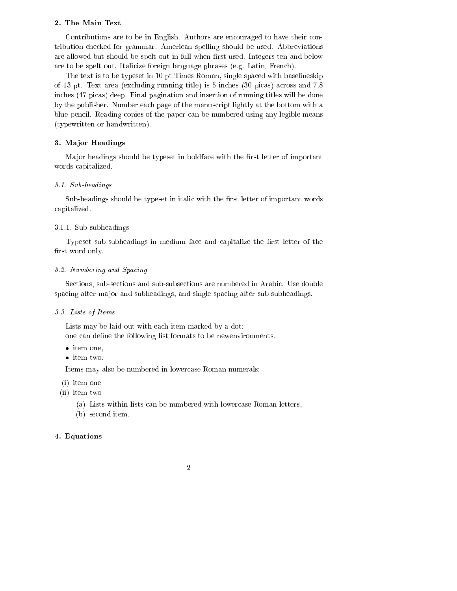## 2. The Main Text

Contributions are to be in English. Authors are encouraged to have their contribution he
ked for grammar. Ameri
an spelling should be used. Abbreviations are allowed but should be spelt out in full when first used. Integers ten and below are to be spelt out. Itali
ize foreign language phrases (e.g. Latin, Fren
h).

The text is to be typeset in 10 pt Times Roman, single spa
ed with baselineskip of 13 pt. Text area (excluding running title) is 5 inches (30 picas) across and 7.8 in
hes (47 pi
as) deep. Final pagination and insertion of running titles will be done by the publisher. Number ea
h page of the manus
ript lightly at the bottom with a blue pencil. Reading copies of the paper can be numbered using any legible means (typewritten or handwritten).

## 3. Major Headings

Major headings should be typeset in boldface with the first letter of important words apitalized.

#### $3.1$  .  $3.1$   $3.1$   $3.1$

Sub-headings should be typeset in italic with the first letter of important words apitalized.

## 3.1.1. Sub-subheadings

Typeset sub-subheadings in medium face and capitalize the first letter of the first word only.

#### 3.2. Numbering and Spa
ing

Se
tions, sub-se
tions and sub-subse
tions are numbered in Arabi
. Use double spacing after major and subheadings, and single spacing after sub-subheadings.

#### 3.3. Lists of Items

Lists may be laid out with each item marked by a dot: one can define the following list formats to be newenvironments.

- item one,
- $\bullet\,$  item two.

Items may also be numbered in lower
ase Roman numerals:

- (i) item one
- (ii) item two
	- (a) Lists within lists an be numbered with lower
	ase Roman letters,
	- (b) second item.

# 4. Equations

# 2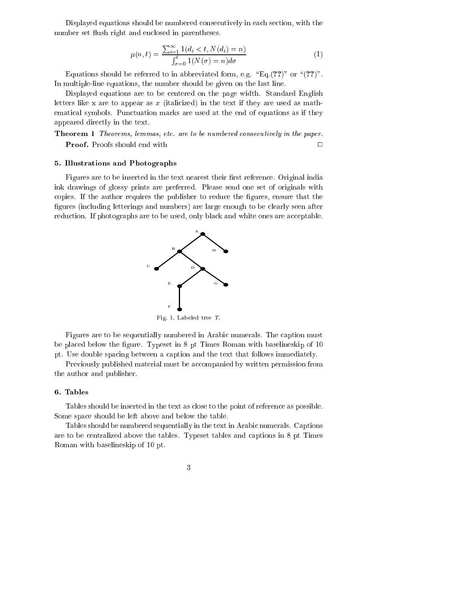Displayed equations should be numbered consecutively in each section, with the number set flush right and enclosed in parentheses.

$$
\mu(n,t) = \frac{\sum_{i=1}^{\infty} 1\,(d_i < t, N(d_i) = n)}{\int_{\sigma=0}^{t} 1\,(N(\sigma) = n)d\sigma} \tag{1}
$$

Equations should be referred to in abbreviated form, e.g. "Eq.(??)" or " $(??)$ ". In multiple-line equations, the number should be given on the last line.

Displayed equations are to be entered on the page width. Standard English letters like x are to appear as  $x$  (italicized) in the text if they are used as mathemati
al symbols. Pun
tuation marks are used at the end of equations as if they appeared directly in the text.

**Theorem 1** Theorems, lemmas, etc. are to be numbered consecutively in the paper. **Proof.** Proofs should end with  $\square$ 

## 5. Illustrations and Photographs

Figures are to be inserted in the text nearest their first reference. Original india ink drawings of glossy prints are preferred. Please send one set of originals with opies. If the author requires the publisher to redu
e the gures, ensure that the figures (including letterings and numbers) are large enough to be clearly seen after reduction. If photographs are to be used, only black and white ones are acceptable.



Figures are to be sequentially numbered in Arabic numerals. The caption must be placed below the figure. Typeset in 8 pt Times Roman with baselineskip of 10 pt. Use double spacing between a caption and the text that follows immediately.

Previously published material must be accompanied by written permission from the author and publisher.

#### 6. Tables

Tables should be inserted in the text as close to the point of reference as possible. Some spa
e should be left above and below the table.

Tables should be numbered sequentially in the text in Arabic numerals. Captions are to be entralized above the tables. Typeset tables and aptions in 8 pt Times Roman with baselineskip of 10 pt.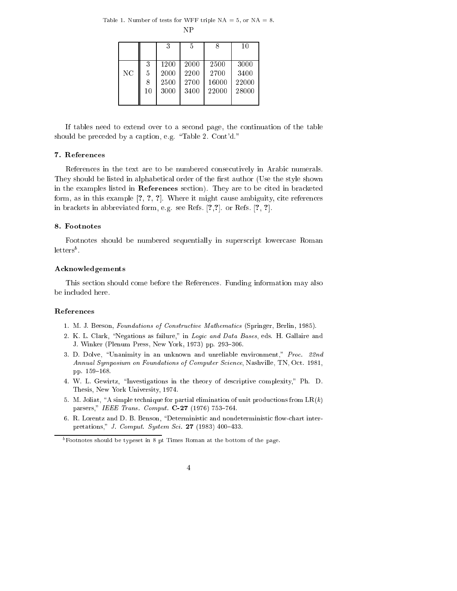Table 1. Number of tests for WFF triple  $NA = 5$ , or  $NA = 8$ . **NP** 

|    |    | 3    | 5    | 8     | 10    |
|----|----|------|------|-------|-------|
| NC | 3  | 1200 | 2000 | 2500  | 3000  |
|    | 5  | 2000 | 2200 | 2700  | 3400  |
|    | 8  | 2500 | 2700 | 16000 | 22000 |
|    | 10 | 3000 | 3400 | 22000 | 28000 |

If tables need to extend over to a second page, the continuation of the table should be preceded by a caption, e.g. "Table 2. Cont'd."

## 7. References

References in the text are to be numbered consecutively in Arabic numerals. They should be listed in alphabetical order of the first author (Use the style shown in the examples listed in References section). They are to be cited in bracketed form, as in this example  $[?,?,?,']$ . Where it might cause ambiguity, cite references in brackets in abbreviated form, e.g. see Refs.  $[?,?]$ . or Refs.  $[?, ?]$ .

### 8. Footnotes

Footnotes should be numbered sequentially in superscript lowercase Roman  $letters<sup>b</sup>$ .

#### Acknowledgements

This section should come before the References. Funding information may also be included here.

## References

- 1. M. J. Beeson, Foundations of Constructive Mathematics (Springer, Berlin, 1985).
- 2. K. L. Clark, "Negations as failure," in Logic and Data Bases, eds. H. Gallaire and J. Winker (Plenum Press, New York, 1973) pp. 293-306.
- 3. D. Dolve, "Unanimity in an unknown and unreliable environment," Proc. 22nd Annual Symposium on Foundations of Computer Science, Nashville, TN, Oct. 1981, pp. 159-168.
- 4. W. L. Gewirtz, "Investigations in the theory of descriptive complexity," Ph. D. Thesis, New York University, 1974.
- 5. M. Joliat, "A simple technique for partial elimination of unit productions from  $LR(k)$ parsers," IEEE Trans. Comput. C-27 (1976) 753-764.
- 6. R. Lorentz and D. B. Benson, "Deterministic and nondeterministic flow-chart interpretations," J. Comput. System Sci. 27 (1983) 400-433.

 $^{b}$  Footnotes should be typeset in 8 pt Times Roman at the bottom of the page.